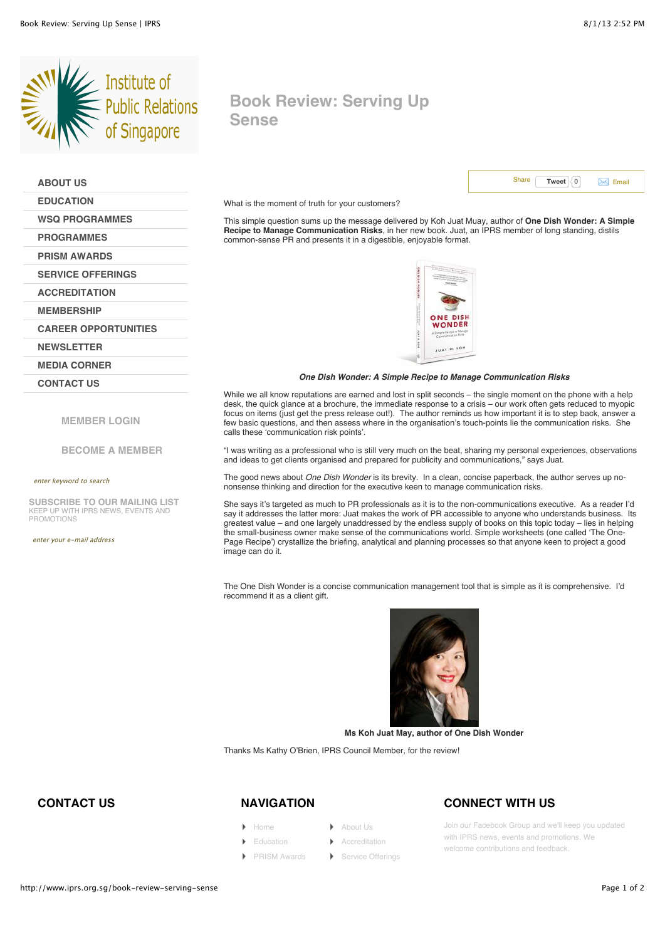**[ABOUT US](http://www.iprs.org.sg/about-us) [EDUCATION](http://www.iprs.org.sg/education)**

**[WSQ PROGRAMMES](http://www.iprs.org.sg/wsq-modular-courses) [PROGRAMMES](http://www.iprs.org.sg/programmes) [PRISM AWARDS](http://www.iprs.org.sg/prism-awards) [SERVICE OFFERINGS](http://www.iprs.org.sg/service-offerings) [ACCREDITATION](http://www.iprs.org.sg/accreditation) [MEMBERSHIP](http://www.iprs.org.sg/membership)**



**[MEMBER LOGIN](http://www.iprs.org.sg/user/login)**

**[CAREER OPPORTUNITIES](http://www.iprs.org.sg/career-opportunities)**

KEEP UP WITH IPRS NEWS, EVENTS AND

**SUBSCRIBE TO OUR MAILING LIST**

enter keyword to search

**[NEWSLETTER](http://www.iprs.org.sg/node/1309) [MEDIA CORNER](http://www.iprs.org.sg/media-corner) [CONTACT US](http://www.iprs.org.sg/contact-us)**

enter your e-mail address

PROMOTIONS

**[BECOME A MEMBER](http://www.iprs.org.sg/new-member)**

# **Book Review: Serving Up Sense**



What is the moment of truth for your customers?

This simple question sums up the message delivered by Koh Juat Muay, author of **One Dish Wonder: A Simple Recipe to Manage Communication Risks**, in her new book. Juat, an IPRS member of long standing, distils common-sense PR and presents it in a digestible, enjoyable format.



#### *One Dish Wonder: A Si[mple Recipe to Manage](http://www.iprs.org.sg/sites/default/files/newsletter_images/large_book%20review.jpg) Communication Risks*

While we all know reputations are earned and lost in split seconds – the single moment on the phone with a help desk, the quick glance at a brochure, the immediate response to a crisis – our work often gets reduced to myopic focus on items (just get the press release out!). The author reminds us how important it is to step back, answer a few basic questions, and then assess where in the organisation's touch-points lie the communication risks. She calls these 'communication risk points'.

"I was writing as a professional who is still very much on the beat, sharing my personal experiences, observations and ideas to get clients organised and prepared for publicity and communications," says Juat.

The good news about *One Dish Wonder* is its brevity. In a clean, concise paperback, the author serves up nononsense thinking and direction for the executive keen to manage communication risks.

She says it's targeted as much to PR professionals as it is to the non-communications executive. As a reader I'd say it addresses the latter more: Juat makes the work of PR accessible to anyone who understands business. Its greatest value – and one largely unaddressed by the endless supply of books on this topic today – lies in helping the small-business owner make sense of the communications world. Simple worksheets (one called 'The One-Page Recipe') crystallize the briefing, analytical and planning processes so that anyone keen to project a good image can do it.

The One Dish Wonder is a concise communication management tool that is simple as it is comprehensive. I'd recommend it as a client gift.



**Ms Koh Juat May, author of One Dish Wonder**

Thanks Ms Kathy O'Brien, IPRS Council Member, for the review!

### **CONTACT US**

- [Home](http://www.iprs.org.sg/) [About Us](http://www.iprs.org.sg/about-us)
- [Education](http://www.iprs.org.sg/education) **[Accreditation](http://www.iprs.org.sg/accreditation)**
- [PRISM Awards](http://www.iprs.org.sg/prism-awards) **COMPASS** [Service Offerings](http://www.iprs.org.sg/service-offerings)

## **NAVIGATION CONNECT WITH US**

Join our Facebook Group and we'll keep you updated with IPRS news, events and promotions. We welcome contributions and feedback.

http://www.iprs.org.sg/book-review-serving-sense Page 1 of 2